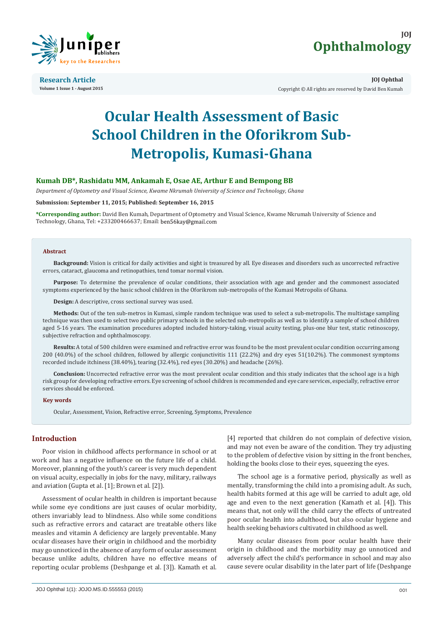



**Research Article Volume 1 Issue 1 - August 2015**

**JOJ Ophthal** Copyright © All rights are reserved by David Ben Kumah

# **Ocular Health Assessment of Basic School Children in the Oforikrom Sub-Metropolis, Kumasi-Ghana**

# **Kumah DB\*, Rashidatu MM, Ankamah E, Osae AE, Arthur E and Bempong BB**

*Department of Optometry and Visual Science, Kwame Nkrumah University of Science and Technology, Ghana*

## **Submission: September 11, 2015; Published: September 16, 2015**

**\*Corresponding author:** David Ben Kumah, Department of Optometry and Visual Science, Kwame Nkrumah University of Science and Technology, Ghana, Tel: +233200466637; Email: ben56kay@gmail.com

#### **Abstract**

**Background:** Vision is critical for daily activities and sight is treasured by all. Eye diseases and disorders such as uncorrected refractive errors, cataract, glaucoma and retinopathies, tend tomar normal vision.

**Purpose:** To determine the prevalence of ocular conditions, their association with age and gender and the commonest associated symptoms experienced by the basic school children in the Oforikrom sub-metropolis of the Kumasi Metropolis of Ghana.

**Design:** A descriptive, cross sectional survey was used.

**Methods:** Out of the ten sub-metros in Kumasi, simple random technique was used to select a sub-metropolis. The multistage sampling technique was then used to select two public primary schools in the selected sub-metropolis as well as to identify a sample of school children aged 5-16 years. The examination procedures adopted included history-taking, visual acuity testing, plus-one blur test, static retinoscopy, subjective refraction and ophthalmoscopy.

**Results:** A total of 500 children were examined and refractive error was found to be the most prevalent ocular condition occurring among 200 (40.0%) of the school children, followed by allergic conjunctivitis 111 (22.2%) and dry eyes 51(10.2%). The commonest symptoms recorded include itchiness (38.40%), tearing (32.4%), red eyes (30.20%) and headache (26%).

**Conclusion:** Uncorrected refractive error was the most prevalent ocular condition and this study indicates that the school age is a high risk group for developing refractive errors. Eye screening of school children is recommended and eye care services, especially, refractive error services should be enforced.

#### **Key words**

Ocular, Assessment, Vision, Refractive error, Screening, Symptoms, Prevalence

# **Introduction**

Poor vision in childhood affects performance in school or at work and has a negative influence on the future life of a child. Moreover, planning of the youth's career is very much dependent on visual acuity, especially in jobs for the navy, military, railways and aviation (Gupta et al. [1]; Brown et al. [2]).

Assessment of ocular health in children is important because while some eye conditions are just causes of ocular morbidity, others invariably lead to blindness. Also while some conditions such as refractive errors and cataract are treatable others like measles and vitamin A deficiency are largely preventable. Many ocular diseases have their origin in childhood and the morbidity may go unnoticed in the absence of any form of ocular assessment because unlike adults, children have no effective means of reporting ocular problems (Deshpange et al. [3]). Kamath et al.

[4] reported that children do not complain of defective vision, and may not even be aware of the condition. They try adjusting to the problem of defective vision by sitting in the front benches, holding the books close to their eyes, squeezing the eyes.

The school age is a formative period, physically as well as mentally, transforming the child into a promising adult. As such, health habits formed at this age will be carried to adult age, old age and even to the next generation (Kamath et al. [4]). This means that, not only will the child carry the effects of untreated poor ocular health into adulthood, but also ocular hygiene and health seeking behaviors cultivated in childhood as well.

Many ocular diseases from poor ocular health have their origin in childhood and the morbidity may go unnoticed and adversely affect the child's performance in school and may also cause severe ocular disability in the later part of life (Deshpange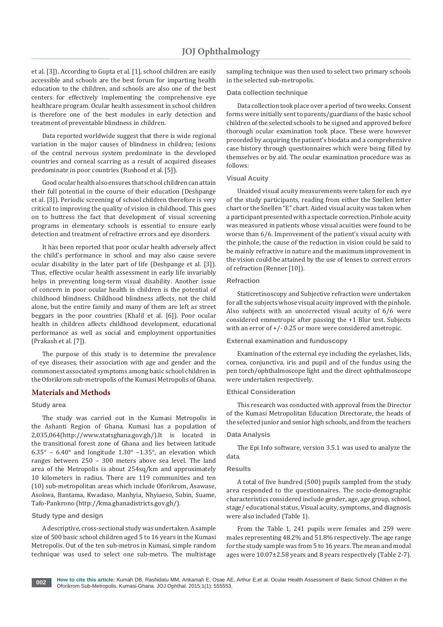et al. [3]). According to Gupta et al. [1], school children are easily accessible and schools are the best forum for imparting health education to the children, and schools are also one of the best centers for effectively implementing the comprehensive eye healthcare program. Ocular health assessment in school children is therefore one of the best modules in early detection and treatment of preventable blindness in children.

Data reported worldwide suggest that there is wide regional variation in the major causes of blindness in children; lesions of the central nervous system predominate in the developed countries and corneal scarring as a result of acquired diseases predominate in poor countries (Rushood et al. [5]).

Good ocular health also ensures that school children can attain their full potential in the course of their education (Deshpange et al. [3]). Periodic screening of school children therefore is very critical to improving the quality of vision in childhood. This goes on to buttress the fact that development of visual screening programs in elementary schools is essential to ensure early detection and treatment of refractive errors and eye disorders.

It has been reported that poor ocular health adversely affect the child's performance in school and may also cause severe ocular disability in the later part of life (Deshpange et al. [3]). Thus, effective ocular health assessment in early life invariably helps in preventing long-term visual disability. Another issue of concern in poor ocular health in children is the potential of childhood blindness. Childhood blindness affects, not the child alone, but the entire family and many of them are left as street beggars in the poor countries (Khalil et al. [6]). Poor ocular health in children affects childhood development, educational performance as well as social and employment opportunities (Prakash et al. [7]).

The purpose of this study is to determine the prevalence of eye diseases, their association with age and gender and the commonest associated symptoms among basic school children in the Oforikrom sub-metropolis of the Kumasi Metropolis of Ghana.

# **Materials and Methods**

## **Study area**

The study was carried out in the Kumasi Metropolis in the Ashanti Region of Ghana. Kumasi has a population of 2,035,064(http://www.statsghana.gov.gh/).It is located in the transitional forest zone of Ghana and lies between latitude  $6.35^{\circ}$  –  $6.40^{\circ}$  and longitude  $1.30^{\circ}$  – $1.35^{\circ}$ , an elevation which ranges between 250 – 300 meters above sea level. The land area of the Metropolis is about 254sq/km and approximately 10 kilometers in radius. There are 119 communities and ten (10) sub-metropolitan areas which include Oforikrom, Asawase, Asokwa, Bantama, Kwadaso, Manhyia, Nhyiaeso, Subin, Suame, Tafo-Pankrono (http://kma.ghanadistricts.gov.gh/).

# **Study type and design**

A descriptive, cross-sectional study was undertaken. A sample size of 500 basic school children aged 5 to 16 years in the Kumasi Metropolis. Out of the ten sub-metros in Kumasi, simple random technique was used to select one sub-metro. The multistage

sampling technique was then used to select two primary schools in the selected sub-metropolis.

#### **Data collection technique**

Data collection took place over a period of two weeks. Consent forms were initially sent to parents/guardians of the basic school children of the selected schools to be signed and approved before thorough ocular examination took place. These were however preceded by acquiring the patient's biodata and a comprehensive case history through questionnaires which were being filled by themselves or by aid. The ocular examination procedure was as follows:

#### **Visual Acuity**

Unaided visual acuity measurements were taken for each eye of the study participants, reading from either the Snellen letter chart or the Snellen "E" chart. Aided visual acuity was taken when a participant presented with a spectacle correction. Pinhole acuity was measured in patients whose visual acuities were found to be worse than 6/6. Improvement of the patient's visual acuity with the pinhole, the cause of the reduction in vision could be said to be mainly refractive in nature and the maximum improvement in the vision could be attained by the use of lenses to correct errors of refraction (Renner [10]).

# **Refraction**

Staticretinoscopy and Subjective refraction were undertaken for all the subjects whose visual acuity improved with the pinhole. Also subjects with an uncorrected visual acuity of 6/6 were considered emmetropic after passing the +1 Blur test. Subjects with an error of +/- 0.25 or more were considered ametropic.

# **External examination and funduscopy**

Examination of the external eye including the eyelashes, lids, cornea, conjunctiva, iris and pupil and of the fundus using the pen torch/ophthalmoscope light and the direct ophthalmoscope were undertaken respectively.

#### **Ethical Consideration**

This research was conducted with approval from the Director of the Kumasi Metropolitan Education Directorate, the heads of the selected junior and senior high schools, and from the teachers

## **Data Analysis**

The Epi Info software, version 3.5.1 was used to analyze the data.

## **Results**

A total of five hundred (500) pupils sampled from the study area responded to the questionnaires. The socio-demographic characteristics considered include gender, age, age group, school, stage/ educational status, Visual acuity, symptoms, and diagnosis were also included (Table 1).

From the Table 1, 241 pupils were females and 259 were males representing 48.2% and 51.8% respectively. The age range for the study sample was from 5 to 16 years. The mean and modal ages were 10.07±2.58 years and 8 years respectively (Table 2-7).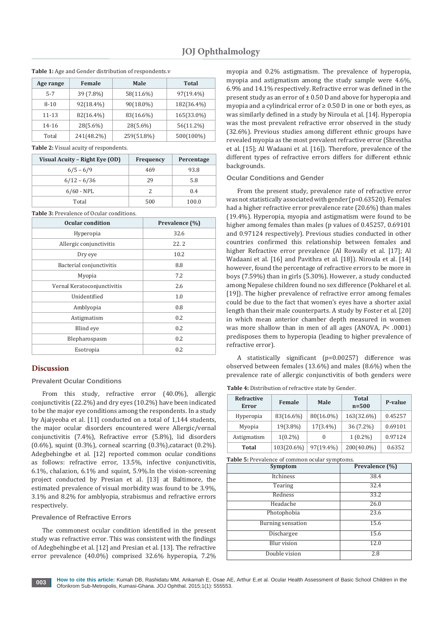| Age range | Female     | Male       | Total      |
|-----------|------------|------------|------------|
| $5 - 7$   | 39 (7.8%)  | 58(11.6%)  | 97(19.4%)  |
| $8 - 10$  | 92(18.4%)  | 90(18.0%)  | 182(36.4%) |
| 11-13     | 82(16.4%)  | 83(16.6%)  | 165(33.0%) |
| 14-16     | 28(5.6%)   | 28(5.6%)   | 56(11.2%)  |
| Total     | 241(48.2%) | 259(51.8%) | 500(100%)  |

**Table 1:** Age and Gender distribution of respondents.v

**Table 2:** Visual acuity of respondents.

| Visual Acuity - Right Eye (OD) | <b>Frequency</b> | Percentage |
|--------------------------------|------------------|------------|
| $6/5 - 6/9$                    | 469              | 93.8       |
| $6/12 - 6/36$                  | 29               | 5.8        |
| $6/60$ - NPL                   | 2                | 0.4        |
| Total                          | 500              | 100.0      |

**Table 3:** Prevalence of Ocular conditions.

| <b>Ocular condition</b>     | Prevalence (%) |  |
|-----------------------------|----------------|--|
| Hyperopia                   | 32.6           |  |
| Allergic conjunctivitis     | 22.2           |  |
| Dry eye                     | 10.2           |  |
| Bacterial conjunctivitis    | 8.8            |  |
| Myopia                      | 7.2            |  |
| Vernal Keratoconjunctivitis | 2.6            |  |
| Unidentified                | 1.0            |  |
| Amblyopia                   | 0.8            |  |
| Astigmatism                 | 0.2            |  |
| Blind eye                   | 0.2            |  |
| Blepharospasm               | 0.2            |  |
| Esotropia                   | 0.2            |  |

# **Discussion**

# **Prevalent Ocular Conditions**

From this study, refractive error (40.0%), allergic conjunctivitis (22.2%) and dry eyes (10.2%) have been indicated to be the major eye conditions among the respondents. In a study by Ajaiyeoba et al. [11] conducted on a total of 1,144 students, the major ocular disorders encountered were Allergic/vernal conjunctivitis (7.4%), Refractive error (5.8%), lid disorders (0.6%), squint (0.3%), corneal scarring (0.3%),cataract (0.2%). Adegbehingbe et al. [12] reported common ocular conditions as follows: refractive error, 13.5%, infective conjunctivitis, 6.1%, chalazion, 6.1% and squint, 5.9%.In the vision-screening project conducted by Presian et al. [13] at Baltimore, the estimated prevalence of visual morbidity was found to be 3.9%, 3.1% and 8.2% for amblyopia, strabismus and refractive errors respectively.

# **Prevalence of Refractive Errors**

The commonest ocular condition identified in the present study was refractive error. This was consistent with the findings of Adegbehingbe et al. [12] and Presian et al. [13]. The refractive error prevalence (40.0%) comprised 32.6% hyperopia, 7.2%

myopia and 0.2% astigmatism. The prevalence of hyperopia, myopia and astigmatism among the study sample were 4.6%, 6.9% and 14.1% respectively. Refractive error was defined in the present study as an error of  $\pm$  0.50 D and above for hyperopia and myopia and a cylindrical error of  $\geq 0.50$  D in one or both eyes, as was similarly defined in a study by Niroula et al. [14]. Hyperopia was the most prevalent refractive error observed in the study (32.6%). Previous studies among different ethnic groups have revealed myopia as the most prevalent refractive error (Shrestha et al. [15]; Al Wadaani et al. [16]). Therefore, prevalence of the different types of refractive errors differs for different ethnic backgrounds.

## **Ocular Conditions and Gender**

From the present study, prevalence rate of refractive error was not statistically associated with gender (p=0.63520). Females had a higher refractive error prevalence rate (20.6%) than males (19.4%). Hyperopia, myopia and astigmatism were found to be higher among females than males (p values of 0.45257, 0.69101 and 0.97124 respectively). Previous studies conducted in other countries confirmed this relationship between females and higher Refractive error prevalence (Al Rowaily et al. [17]; Al Wadaani et al. [16] and Pavithra et al. [18]). Niroula et al. [14] however, found the percentage of refractive errors to be more in boys (7.59%) than in girls (5.30%). However, a study conducted among Nepalese children found no sex difference (Pokharel et al. [19]). The higher prevalence of refractive error among females could be due to the fact that women's eyes have a shorter axial length than their male counterparts. A study by Foster et al. [20] in which mean anterior chamber depth measured in women was more shallow than in men of all ages (ANOVA, *P*< .0001) predisposes them to hyperopia (leading to higher prevalence of refractive error).

A statistically significant (p=0.00257) difference was observed between females (13.6%) and males (8.6%) when the prevalence rate of allergic conjunctivitis of both genders were

**Table 4:** Distribution of refractive state by Gender.

| Refractive<br><b>Error</b> | Female     | Male        | <b>Total</b><br>$n=500$ | P-value |
|----------------------------|------------|-------------|-------------------------|---------|
| Hyperopia                  | 83(16.6%)  | 80(16.0%)   | 163(32.6%)              | 0.45257 |
| Myopia                     | 19(3.8%)   | $17(3.4\%)$ | 36 (7.2%)               | 0.69101 |
| Astigmatism                | $1(0.2\%)$ | 0           | $1(0.2\%)$              | 0.97124 |
| Total                      | 103(20.6%) | 97(19.4%)   | 200(40.0%)              | 0.6352  |

**Table 5:** Prevalence of common ocular symptoms.

| Symptom                  | Prevalence (%) |
|--------------------------|----------------|
| Itchiness                | 38.4           |
| Tearing                  | 32.4           |
| Redness                  | 33.2           |
| Headache                 | 26.0           |
| Photophobia              | 23.6           |
| <b>Burning sensation</b> | 15.6           |
| <b>Dischargee</b>        | 15.6           |
| Blur vision              | 12.0           |
| Double vision            | 2.8            |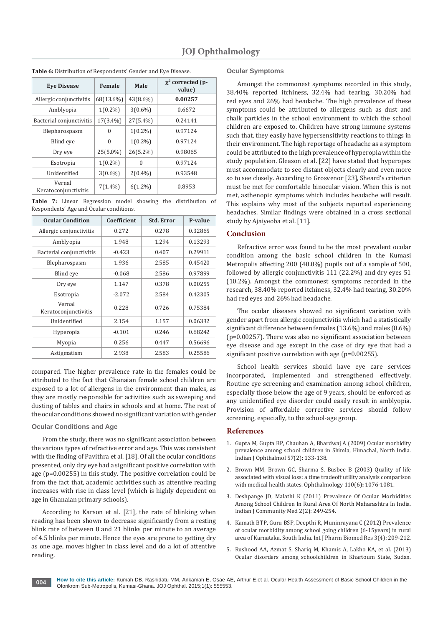| <b>Eve Disease</b>             | Female      | Male        | $\chi^2$ corrected (p-<br>value) |
|--------------------------------|-------------|-------------|----------------------------------|
| Allergic conjunctivitis        | 68(13.6%)   | 43(8.6%)    | 0.00257                          |
| Amblyopia                      | $1(0.2\%)$  | $3(0.6\%)$  | 0.6672                           |
| Bacterial conjunctivitis       | $17(3.4\%)$ | $27(5.4\%)$ | 0.24141                          |
| Blepharospasm                  | 0           | $1(0.2\%)$  | 0.97124                          |
| Blind eye                      | $\Omega$    | $1(0.2\%)$  | 0.97124                          |
| Dry eye                        | $25(5.0\%)$ | $26(5.2\%)$ | 0.98065                          |
| Esotropia                      | $1(0.2\%)$  | $\Omega$    | 0.97124                          |
| Unidentified                   | $3(0.6\%)$  | $2(0.4\%)$  | 0.93548                          |
| Vernal<br>Keratoconjunctivitis | $7(1.4\%)$  | $6(1.2\%)$  | 0.8953                           |

**Table 6:** Distribution of Respondents' Gender and Eye Disease.

**Table 7:** Linear Regression model showing the distribution of Respondents' Age and Ocular conditions.

| <b>Ocular Condition</b>        | Coefficient | <b>Std. Error</b> | P-value |
|--------------------------------|-------------|-------------------|---------|
| Allergic conjunctivitis        | 0.272       | 0.278             | 0.32865 |
| Amblyopia                      | 1.948       | 1.294             | 0.13293 |
| Bacterial conjunctivitis       | $-0.423$    | 0.407             | 0.29911 |
| Blepharospasm                  | 1.936       | 2.585             | 0.45420 |
| Blind eye                      | $-0.068$    | 2.586             | 0.97899 |
| Dry eye                        | 1.147       | 0.378             | 0.00255 |
| Esotropia                      | $-2.072$    | 2.584             | 0.42305 |
| Vernal<br>Keratoconjunctivitis | 0.228       | 0.726             | 0.75384 |
| <b>Unidentified</b>            | 2.154       | 1.157             | 0.06332 |
| Hyperopia                      | $-0.101$    | 0.246             | 0.68242 |
| Myopia                         | 0.256       | 0.447             | 0.56696 |
| Astigmatism                    | 2.938       | 2.583             | 0.25586 |

compared. The higher prevalence rate in the females could be attributed to the fact that Ghanaian female school children are exposed to a lot of allergens in the environment than males, as they are mostly responsible for activities such as sweeping and dusting of tables and chairs in schools and at home. The rest of the ocular conditions showed no significant variation with gender

# **Ocular Conditions and Age**

From the study, there was no significant association between the various types of refractive error and age. This was consistent with the finding of Pavithra et al. [18]. Of all the ocular conditions presented, only dry eye had a significant positive correlation with age (p=0.00255) in this study. The positive correlation could be from the fact that, academic activities such as attentive reading increases with rise in class level (which is highly dependent on age in Ghanaian primary schools).

According to Karson et al. [21], the rate of blinking when reading has been shown to decrease significantly from a resting blink rate of between 8 and 21 blinks per minute to an average of 4.5 blinks per minute. Hence the eyes are prone to getting dry as one age, moves higher in class level and do a lot of attentive reading.

# **Ocular Symptoms**

Amongst the commonest symptoms recorded in this study, 38.40% reported itchiness, 32.4% had tearing, 30.20% had red eyes and 26% had headache. The high prevalence of these symptoms could be attributed to allergens such as dust and chalk particles in the school environment to which the school children are exposed to. Children have strong immune systems such that, they easily have hypersensitivity reactions to things in their environment. The high reportage of headache as a symptom could be attributed to the high prevalence of hyperopia within the study population. Gleason et al. [22] have stated that hyperopes must accommodate to see distant objects clearly and even more so to see closely. According to Grosvenor [23], Sheard's criterion must be met for comfortable binocular vision. When this is not met, asthenopic symptoms which includes headache will result. This explains why most of the subjects reported experiencing headaches. Similar findings were obtained in a cross sectional study by Ajaiyeoba et al. [11].

# **Conclusion**

Refractive error was found to be the most prevalent ocular condition among the basic school children in the Kumasi Metropolis affecting 200 (40.0%) pupils out of a sample of 500, followed by allergic conjunctivitis 111 (22.2%) and dry eyes 51 (10.2%). Amongst the commonest symptoms recorded in the research, 38.40% reported itchiness, 32.4% had tearing, 30.20% had red eyes and 26% had headache.

The ocular diseases showed no significant variation with gender apart from allergic conjunctivitis which had a statistically significant difference between females (13.6%) and males (8.6%) (p=0.00257). There was also no significant association between eye disease and age except in the case of dry eye that had a significant positive correlation with age (p=0.00255).

School health services should have eye care services incorporated, implemented and strengthened effectively. Routine eye screening and examination among school children, especially those below the age of 9 years, should be enforced as any unidentified eye disorder could easily result in amblyopia. Provision of affordable corrective services should follow screening, especially, to the school-age group.

#### **References**

- 1. [Gupta M, Gupta BP, Chauhan A, Bhardwaj A \(2009\) Ocular morbidity](http://www.ncbi.nlm.nih.gov/pubmed/19237787/)  [prevalence among school children in Shimla, Himachal, North India.](http://www.ncbi.nlm.nih.gov/pubmed/19237787/)  [Indian J Ophthalmol 57\(2\)](http://www.ncbi.nlm.nih.gov/pubmed/19237787/)**:** 133-138.
- 2. B[rown MM, Brown GC, Sharma S, Busbee B \(2003\) Quality of life](http://www.ncbi.nlm.nih.gov/pubmed/12799229)  [associated with visual loss: a time tradeoff utility analysis comparison](http://www.ncbi.nlm.nih.gov/pubmed/12799229)  [with medical health states. Ophthalmology 110\(6\)](http://www.ncbi.nlm.nih.gov/pubmed/12799229)**:** 1076-1081.
- 3. [Deshpange JD, Malathi K \(2011\) Prevalence Of Ocular Morbidities](http://njcmindia.org/uploads/2-2_249-254.pdf)  [Among School Children In Rural Area Of North Maharashtra In India.](http://njcmindia.org/uploads/2-2_249-254.pdf)  [Indian J Community Med 2\(2\): 249-254.](http://njcmindia.org/uploads/2-2_249-254.pdf)
- 4. [Kamath BTP, Guru BSP, Deepthi R, Muninrayana C \(2012\) Prevalence](http://www.pharmscidirect.com/Docs/IJPBR-2012-04-123.pdf)  [of ocular morbidity among school going children \(6-15years\) in rural](http://www.pharmscidirect.com/Docs/IJPBR-2012-04-123.pdf)  [area of Karnataka, South India. Int J Pharm Biomed Res 3\(4\): 209-212.](http://www.pharmscidirect.com/Docs/IJPBR-2012-04-123.pdf)
- 5. [Rushood AA, Azmat S, Shariq M, Khamis A, Lakho KA, et al. \(2013\)](http://www.ncbi.nlm.nih.gov/pubmed/23879081)  [Ocular disorders among schoolchildren in Khartoum State, Sudan.](http://www.ncbi.nlm.nih.gov/pubmed/23879081)